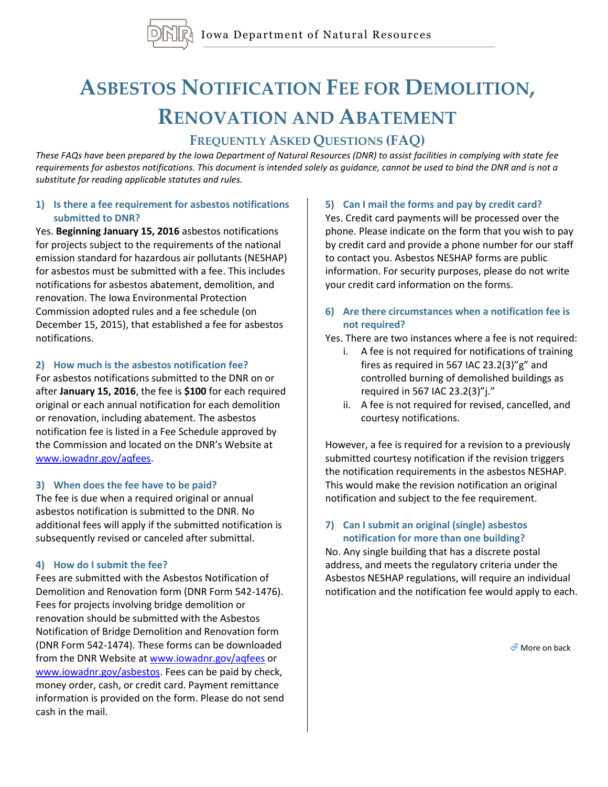

# **ASBESTOS NOTIFICATION FEE FOR DEMOLITION, RENOVATION AND ABATEMENT**

# **FREQUENTLY ASKED QUESTIONS (FAQ)**

*These FAQs have been prepared by the Iowa Department of Natural Resources (DNR) to assist facilities in complying with state fee requirements for asbestos notifications. This document is intended solely as guidance, cannot be used to bind the DNR and is not a substitute for reading applicable statutes and rules.*

#### **1) Is there a fee requirement for asbestos notifications submitted to DNR?**

Yes. **Beginning January 15, 2016** asbestos notifications for projects subject to the requirements of the national emission standard for hazardous air pollutants (NESHAP) for asbestos must be submitted with a fee. This includes notifications for asbestos abatement, demolition, and renovation. The Iowa Environmental Protection Commission adopted rules and a fee schedule (on December 15, 2015), that established a fee for asbestos notifications.

#### **2) How much is the asbestos notification fee?**

For asbestos notifications submitted to the DNR on or after **January 15, 2016**, the fee is **\$100** for each required original or each annual notification for each demolition or renovation, including abatement. The asbestos notification fee is listed in a Fee Schedule approved by the Commission and located on the DNR's Website at [www.iowadnr.gov/aqfees.](http://www.iowadnr.gov/aqfees)

## **3) When does the fee have to be paid?**

The fee is due when a required original or annual asbestos notification is submitted to the DNR. No additional fees will apply if the submitted notification is subsequently revised or canceled after submittal.

## **4) How do I submit the fee?**

Fees are submitted with the Asbestos Notification of Demolition and Renovation form (DNR Form 542-1476). Fees for projects involving bridge demolition or renovation should be submitted with the Asbestos Notification of Bridge Demolition and Renovation form (DNR Form 542-1474). These forms can be downloaded from the DNR Website at [www.iowadnr.gov/aqfees](http://www.iowadnr.gov/aqfees) or [www.iowadnr.gov/asbestos.](http://www.iowadnr.gov/asbestos) Fees can be paid by check, money order, cash, or credit card. Payment remittance information is provided on the form. Please do not send cash in the mail.

#### **5) Can I mail the forms and pay by credit card?**

Yes. Credit card payments will be processed over the phone. Please indicate on the form that you wish to pay by credit card and provide a phone number for our staff to contact you. Asbestos NESHAP forms are public information. For security purposes, please do not write your credit card information on the forms.

#### **6) Are there circumstances when a notification fee is not required?**

Yes. There are two instances where a fee is not required:

- i. A fee is not required for notifications of training fires as required in 567 IAC 23.2(3)"g" and controlled burning of demolished buildings as required in 567 IAC 23.2(3)"j."
- ii. A fee is not required for revised, cancelled, and courtesy notifications.

However, a fee is required for a revision to a previously submitted courtesy notification if the revision triggers the notification requirements in the asbestos NESHAP. This would make the revision notification an original notification and subject to the fee requirement.

## **7) Can I submit an original (single) asbestos notification for more than one building?**

No. Any single building that has a discrete postal address, and meets the regulatory criteria under the Asbestos NESHAP regulations, will require an individual notification and the notification fee would apply to each.

 $M$  More on back